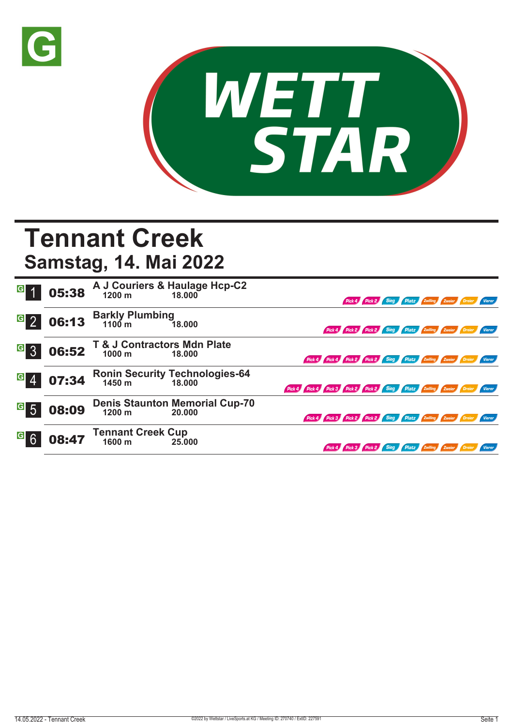



## **Tennant Creek**

**Samstag, 14. Mai 2022**

| G <sub>1</sub>   | 05:38 |                                              | A J Couriers & Haulage Hcp-C2<br>1200 m 18.000  |                                                                             |  | Pick 4 Pick 2 Sieg Platz Zwilling Zweier Dreier Vierer        |  |  |
|------------------|-------|----------------------------------------------|-------------------------------------------------|-----------------------------------------------------------------------------|--|---------------------------------------------------------------|--|--|
| $G_{2}$          | 06:13 | Barkly Plumbing<br>1100 m                    | 18.000                                          |                                                                             |  | Pick 4 Pick 2 Pick 2 Sieg Platz Zwilling Zweier Dreier Vierer |  |  |
| <b>G</b> 3       | 06:52 | T & J Contractors Mdn Plate<br>1000 m 18.000 |                                                 | Pick 4 Pick 4 Pick 2 Pick 2 Sieg Platz Zwilling Zweier Dreier Vierer        |  |                                                               |  |  |
| $G_{4}$          | 07:34 | 1450 m                                       | <b>Ronin Security Technologies-64</b><br>18.000 | Pick 4 Pick 4 Pick 3 Pick 2 Pick 2 Sieg Platz Zwilling Zweier Dreier Vierer |  |                                                               |  |  |
| $\overline{G}$ 5 | 08:09 | 1200 m                                       | <b>Denis Staunton Memorial Cup-70</b><br>20.000 | Pick 4 Pick 3 Pick 2 Pick 2 Sieg Platz Zwilling Zweier Dreier Vierer        |  |                                                               |  |  |
| <sup>G</sup> 6   | 08:47 | <b>Tennant Creek Cup</b><br>1600 m           | 25,000                                          |                                                                             |  | Pick 2 Sieg Platz Zwilling Zweier Dreier Vierer               |  |  |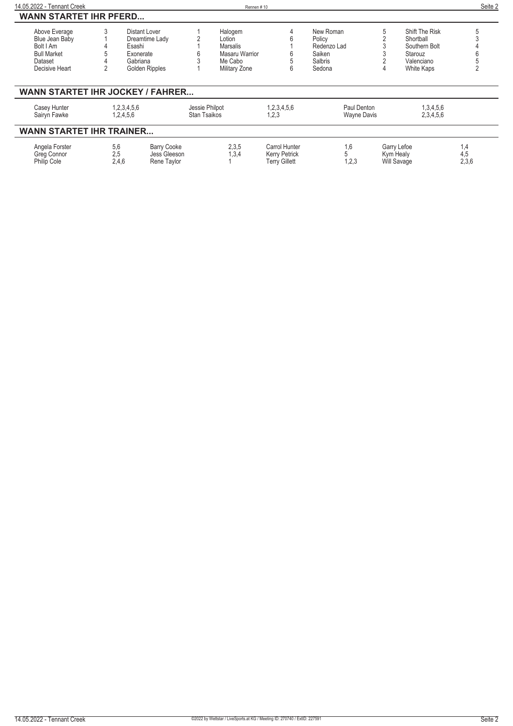| 14.05.2022 - Tennant Creek                                              |            |                                                            | Rennen#10                             |                                                               |                                   |   |                                         | Seite 2             |
|-------------------------------------------------------------------------|------------|------------------------------------------------------------|---------------------------------------|---------------------------------------------------------------|-----------------------------------|---|-----------------------------------------|---------------------|
| <b>WANN STARTET IHR PFERD</b>                                           |            |                                                            |                                       |                                                               |                                   |   |                                         |                     |
| Above Everage                                                           |            | Distant Lover                                              | Halogem                               | 4                                                             | New Roman                         | 5 | Shift The Risk                          |                     |
| Blue Jean Baby                                                          |            | Dreamtime Lady                                             | Lotion                                |                                                               | Policy                            |   | Shortball                               |                     |
| Bolt I Am                                                               |            | Esashi                                                     | <b>Marsalis</b>                       |                                                               | Redenzo Lad                       |   | Southern Bolt                           |                     |
| <b>Bull Market</b>                                                      |            | Exonerate                                                  | Masaru Warrior                        |                                                               | Saiken                            |   | Starouz                                 |                     |
| Dataset                                                                 |            | Gabriana                                                   | Me Cabo                               |                                                               | Salbris                           |   | Valenciano                              |                     |
| Decisive Heart                                                          |            | Golden Ripples                                             | Military Zone                         | 6                                                             | Sedona                            |   | White Kaps                              |                     |
| <b>WANN STARTET IHR JOCKEY / FAHRER</b><br>Casey Hunter<br>Sairyn Fawke |            | 1,2,3,4,5,6<br>1,2,4,5,6                                   | Jessie Philpot<br><b>Stan Tsaikos</b> | 1,2,3,4,5,6<br>1,2,3                                          | Paul Denton<br><b>Wayne Davis</b> |   | 1,3,4,5,6<br>2,3,4,5,6                  |                     |
|                                                                         |            |                                                            |                                       |                                                               |                                   |   |                                         |                     |
| <b>WANN STARTET IHR TRAINER</b>                                         |            |                                                            |                                       |                                                               |                                   |   |                                         |                     |
| Angela Forster<br>Greg Connor<br><b>Philip Cole</b>                     | 5,6<br>2,5 | <b>Barry Cooke</b><br>Jess Gleeson<br>2,4,6<br>Rene Taylor | 2,3,5<br>1,3,4                        | Carrol Hunter<br><b>Kerry Petrick</b><br><b>Terry Gillett</b> | 1,6<br>1,2,3                      |   | Garry Lefoe<br>Kym Healy<br>Will Savage | 1,4<br>4,5<br>2,3,6 |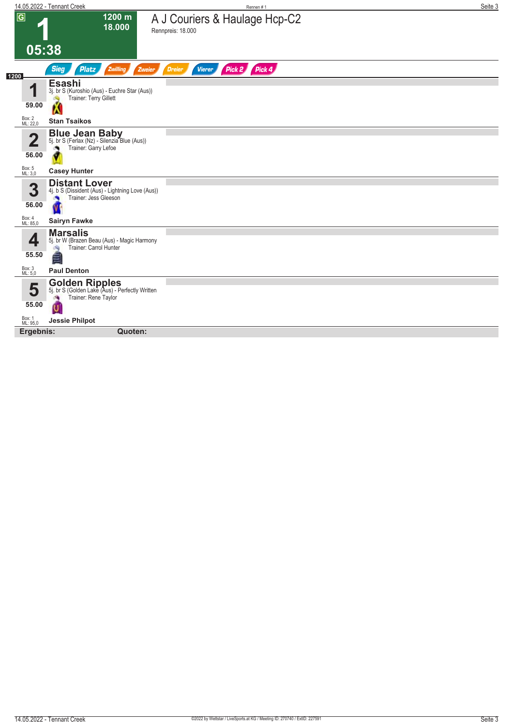|                    | 14.05.2022 - Tennant Creek                                                                             | Rennen #1                                          | Seite 3 |
|--------------------|--------------------------------------------------------------------------------------------------------|----------------------------------------------------|---------|
| $\overline{G}$     | 1200 m<br>18.000                                                                                       | A J Couriers & Haulage Hcp-C2<br>Rennpreis: 18.000 |         |
|                    | 05:38                                                                                                  |                                                    |         |
| 1200               | <b>Sieg</b><br>Zwilling<br><b>Platz</b><br>Zweier                                                      | Pick 2<br>Pick 4<br><b>Vierer</b><br><b>Dreier</b> |         |
| и                  | <b>Esashi</b><br>3j. br S (Kuroshio (Aus) - Euchre Star (Aus))<br>Trainer: Terry Gillett               |                                                    |         |
| 59.00              | K                                                                                                      |                                                    |         |
| Box: 2<br>ML: 22,0 | <b>Stan Tsaikos</b>                                                                                    |                                                    |         |
| 2                  | <b>Blue Jean Baby</b><br>5j. br S (Ferlax (Nz) - Silenzia Blue (Aus))<br>Trainer: Garry Lefoe          |                                                    |         |
| 56.00              |                                                                                                        |                                                    |         |
| Box: 5<br>ML: 3,0  | <b>Casey Hunter</b>                                                                                    |                                                    |         |
| 3                  | <b>Distant Lover</b><br>4j. b S (Dissident (Aus) - Lightning Love (Aus))<br>Trainer: Jess Gleeson<br>× |                                                    |         |
| 56.00              |                                                                                                        |                                                    |         |
| Box: 4<br>ML: 85,0 | <b>Sairyn Fawke</b>                                                                                    |                                                    |         |
| ◢                  | <b>Marsalis</b><br>5j. br W (Brazen Beau (Aus) - Magic Harmony<br>Trainer: Carrol Hunter<br>đQ.        |                                                    |         |
| 55.50              | ≝                                                                                                      |                                                    |         |
| Box: 3<br>ML: 5,0  | <b>Paul Denton</b>                                                                                     |                                                    |         |
| 5                  | <b>Golden Ripples</b><br>5j. br S (Golden Lake (Aus) - Perfectly Written<br>Trainer: Rene Taylor<br>æ  |                                                    |         |
| 55.00              |                                                                                                        |                                                    |         |
| Box: 1<br>ML: 95,0 | <b>Jessie Philpot</b>                                                                                  |                                                    |         |
| Ergebnis:          | Quoten:                                                                                                |                                                    |         |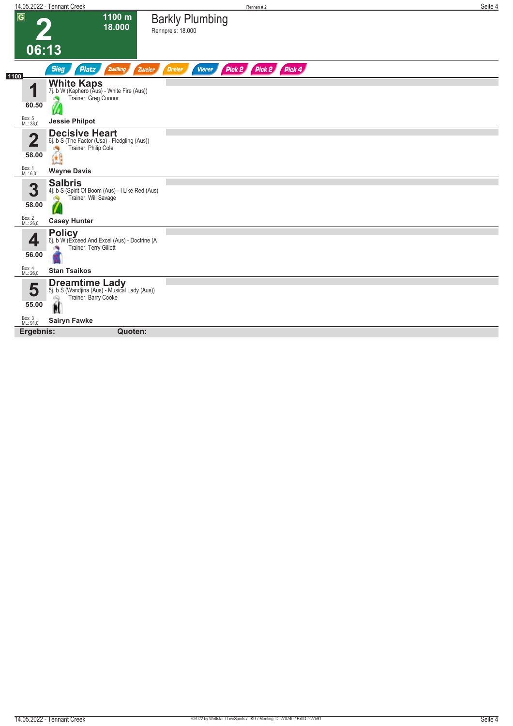|                            | 14.05.2022 - Tennant Creek                                                                           | Rennen #2                                              | Seite 4 |
|----------------------------|------------------------------------------------------------------------------------------------------|--------------------------------------------------------|---------|
| $\overline{G}$             | 1100 m<br>18.000                                                                                     | <b>Barkly Plumbing</b><br>Rennpreis: 18.000            |         |
|                            |                                                                                                      |                                                        |         |
| 06:13                      |                                                                                                      |                                                        |         |
| 1100                       | <b>Sieg</b><br>Zwilling<br>Platz<br>Zweier                                                           | Pick 2 Pick 2 Pick 4<br><b>Dreier</b><br><b>Vierer</b> |         |
| 4                          | <b>White Kaps</b><br>7j. b W (Kaphero (Aus) - White Fire (Aus))<br>Trainer: Greg Connor              |                                                        |         |
| 60.50                      | Ø                                                                                                    |                                                        |         |
| Box: 5<br>ML: 38,0         | <b>Jessie Philpot</b>                                                                                |                                                        |         |
| $\mathbf{\Omega}$<br>58.00 | <b>Decisive Heart</b><br>6j. b S (The Factor (Usa) - Fledgling (Aus))<br>Trainer: Philip Cole<br>Ge  |                                                        |         |
| Box: 1<br>ML: 6,0          | <b>Wayne Davis</b>                                                                                   |                                                        |         |
|                            |                                                                                                      |                                                        |         |
| 3                          | <b>Salbris</b><br>4j. b S (Spirit Of Boom (Aus) - I Like Red (Aus)<br>Trainer: Will Savage<br>đQ     |                                                        |         |
| 58.00                      |                                                                                                      |                                                        |         |
| Box: 2<br>ML: 26,0         | <b>Casey Hunter</b>                                                                                  |                                                        |         |
| ◢<br>56.00                 | <b>Policy</b><br>6j. b W (Exceed And Excel (Aus) - Doctrine (A<br>Trainer: Terry Gillett             |                                                        |         |
| Box: 4<br>ML: 26,0         | <b>Stan Tsaikos</b>                                                                                  |                                                        |         |
| 5                          | <b>Dreamtime Lady</b><br>5j. b S (Wandjina (Aus) - Musical Lady (Aus))<br>Trainer: Barry Cooke<br>ôQ |                                                        |         |
| 55.00                      |                                                                                                      |                                                        |         |
| Box: 3<br>ML: 91,0         | <b>Sairyn Fawke</b>                                                                                  |                                                        |         |
| Ergebnis:                  | Quoten:                                                                                              |                                                        |         |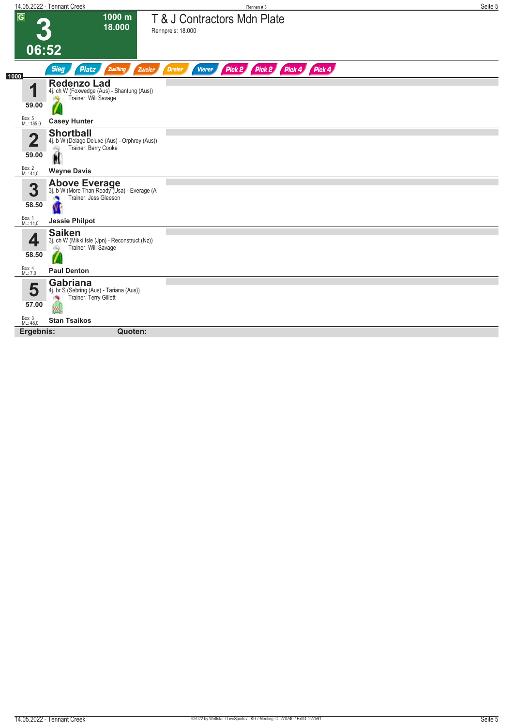|                         | 14.05.2022 - Tennant Creek                                                                     | Rennen#3                                                      | Seite 5 |
|-------------------------|------------------------------------------------------------------------------------------------|---------------------------------------------------------------|---------|
| $\overline{G}$          | 1000 m<br>18.000                                                                               | T & J Contractors Mdn Plate<br>Rennpreis: 18.000              |         |
|                         |                                                                                                |                                                               |         |
|                         | 06:52                                                                                          |                                                               |         |
| 1000                    | <b>Sieg</b><br>Zwilling<br><b>Platz</b><br>Zweier                                              | Pick 2 Pick 2 Pick 4 Pick 4<br><b>Vierer</b><br><b>Dreier</b> |         |
| 4                       | <b>Redenzo Lad</b><br>4j. ch W (Foxwedge (Aus) - Shantung (Aus))<br>Trainer: Will Savage       |                                                               |         |
| 59.00                   |                                                                                                |                                                               |         |
| Box: 5<br>ML: 185,0     | <b>Casey Hunter</b>                                                                            |                                                               |         |
| $\overline{\mathbf{2}}$ | <b>Shortball</b><br>4j. b W (Delago Deluxe (Aus) - Orphrey (Aus))<br>Trainer: Barry Cooke<br>Q |                                                               |         |
| 59.00                   | Ń                                                                                              |                                                               |         |
| Box: 2<br>ML: 44,0      | <b>Wayne Davis</b>                                                                             |                                                               |         |
| 3                       | Above Everage<br>3j. b W (More Than Ready (Usa) - Everage (A<br>Trainer: Jess Gleeson<br>×     |                                                               |         |
| 58.50                   |                                                                                                |                                                               |         |
| Box: 1<br>ML: 11,0      | <b>Jessie Philpot</b>                                                                          |                                                               |         |
| Д                       | <b>Saiken</b><br>3j. ch W (Mikki Isle (Jpn) - Reconstruct (Nz))<br>Trainer: Will Savage<br>Q   |                                                               |         |
| 58.50                   |                                                                                                |                                                               |         |
| Box: 4<br>ML: 7,0       | <b>Paul Denton</b>                                                                             |                                                               |         |
| 5                       | <b>Gabriana</b><br>4j. br S (Sebring (Aus) - Tariana (Aus))<br>Trainer: Terry Gillett<br>淌     |                                                               |         |
| 57.00                   |                                                                                                |                                                               |         |
| Box: 3<br>ML: 48,0      | <b>Stan Tsaikos</b>                                                                            |                                                               |         |
| Ergebnis:               | Quoten:                                                                                        |                                                               |         |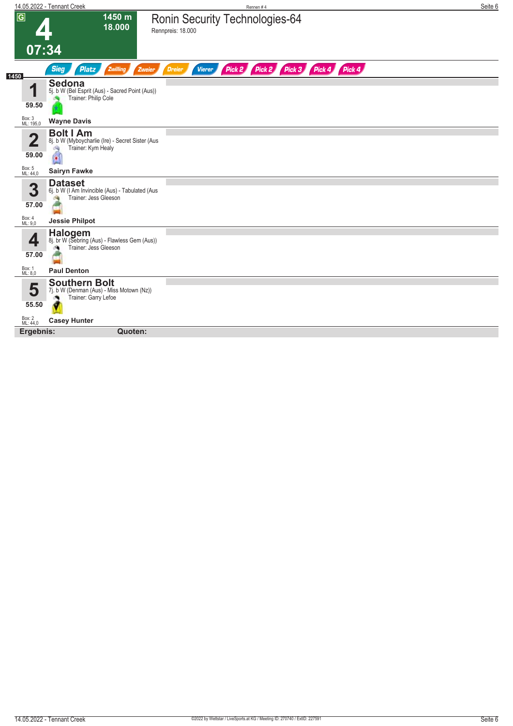|                     | 14.05.2022 - Tennant Creek                                                                         | Rennen #4                                                               | Seite 6 |
|---------------------|----------------------------------------------------------------------------------------------------|-------------------------------------------------------------------------|---------|
| $\sqrt{G}$          | 1450 m<br>18.000                                                                                   | <b>Ronin Security Technologies-64</b><br>Rennpreis: 18.000              |         |
|                     | 07:34                                                                                              |                                                                         |         |
| 1450                | <b>Sieg</b><br>Zwilling<br><b>Platz</b><br>Zweier                                                  | Pick 2<br>Pick 2 Pick 3 Pick 4 Pick 4<br><b>Vierer</b><br><b>Dreier</b> |         |
| ◢                   | <b>Sedona</b><br>5j. b W (Bel Esprit (Aus) - Sacred Point (Aus))<br>Trainer: Philip Cole           |                                                                         |         |
| 59.50               |                                                                                                    |                                                                         |         |
| Box: 3<br>ML: 195,0 | <b>Wayne Davis</b>                                                                                 |                                                                         |         |
| 2<br>59.00          | <b>Bolt I Am</b><br>8j. b W (Myboycharlie (Ire) - Secret Sister (Aus<br>Trainer: Kym Healy<br>đ.   |                                                                         |         |
| Box: 5<br>ML: 44,0  | <b>Sairyn Fawke</b>                                                                                |                                                                         |         |
| 3<br>57.00          | <b>Dataset</b><br>6j. b W (I Am Invincible (Aus) - Tabulated (Aus<br>Trainer: Jess Gleeson<br>dia. |                                                                         |         |
| Box: 4<br>ML: 9,0   | <b>Jessie Philpot</b>                                                                              |                                                                         |         |
| $\sqrt{2}$<br>57.00 | Halogem<br>8j. br W (Sebring (Aus) - Flawless Gem (Aus))<br>Trainer: Jess Gleeson                  |                                                                         |         |
| Box: 1<br>ML: 8,0   | <b>Paul Denton</b>                                                                                 |                                                                         |         |
| 5                   | <b>Southern Bolt</b><br>7j. b W (Denman (Aus) - Miss Motown (Nz))<br>Trainer: Garry Lefoe          |                                                                         |         |
| 55.50               |                                                                                                    |                                                                         |         |
| Box: 2<br>ML: 44,0  | <b>Casey Hunter</b>                                                                                |                                                                         |         |
| Ergebnis:           | Quoten:                                                                                            |                                                                         |         |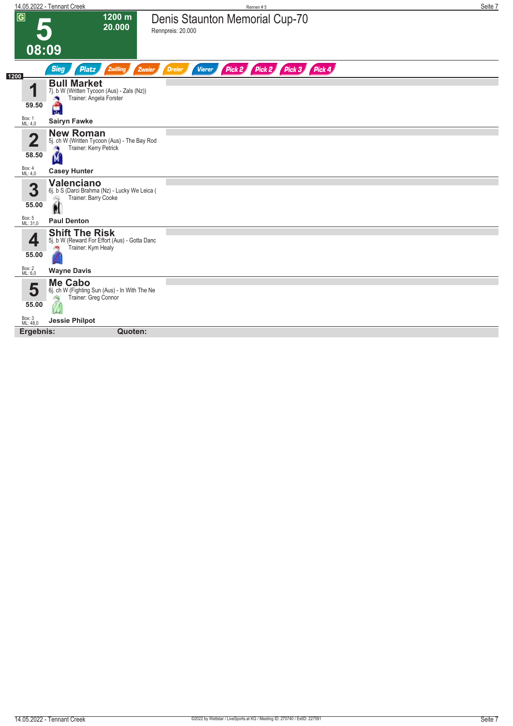|                       | 14.05.2022 - Tennant Creek                                                                        | Rennen#5                                                      | Seite 7 |
|-----------------------|---------------------------------------------------------------------------------------------------|---------------------------------------------------------------|---------|
| $\sqrt{G}$            | 1200 m<br>20.000                                                                                  | Denis Staunton Memorial Cup-70<br>Rennpreis: 20.000           |         |
| 08:09                 |                                                                                                   |                                                               |         |
| 1200                  | <b>Sieg</b><br>Zwilling<br><b>Platz</b><br>Zweier                                                 | Pick 2 Pick 2 Pick 3 Pick 4<br><b>Dreier</b><br><b>Vierer</b> |         |
| И                     | <b>Bull Market</b><br>7j. b W (Written Tycoon (Aus) - Zals (Nz))<br>Trainer: Angela Forster       |                                                               |         |
| 59.50                 | H                                                                                                 |                                                               |         |
| Box: 1<br>ML: 4,0     | <b>Sairyn Fawke</b>                                                                               |                                                               |         |
| $\mathbf{D}$<br>58.50 | <b>New Roman</b><br>5j. ch W (Written Tycoon (Aus) - The Bay Rod<br>Trainer: Kerry Petrick<br>A   |                                                               |         |
|                       | M                                                                                                 |                                                               |         |
| Box: 4<br>ML: 4,0     | <b>Casey Hunter</b>                                                                               |                                                               |         |
| 3<br>55.00            | <b>Valenciano</b><br>6j. b S (Darci Brahma (Nz) - Lucky We Leica (<br>Trainer: Barry Cooke<br>Q   |                                                               |         |
| Box: 5<br>ML: 31,0    | H<br><b>Paul Denton</b>                                                                           |                                                               |         |
| 4<br>55.00            | <b>Shift The Risk</b><br>5j. b W (Reward For Effort (Aus) - Gotta Danc<br>Trainer: Kym Healy<br>æ |                                                               |         |
| Box: 2<br>ML: 6,0     | <b>Wayne Davis</b>                                                                                |                                                               |         |
| 5                     | <b>Me Cabo</b><br>6j. ch W (Fighting Sun (Aus) - In With The Ne<br>Trainer: Greg Connor           |                                                               |         |
| 55.00                 |                                                                                                   |                                                               |         |
| Box: 3<br>ML: 48,0    | <b>Jessie Philpot</b>                                                                             |                                                               |         |
| Ergebnis:             | Quoten:                                                                                           |                                                               |         |